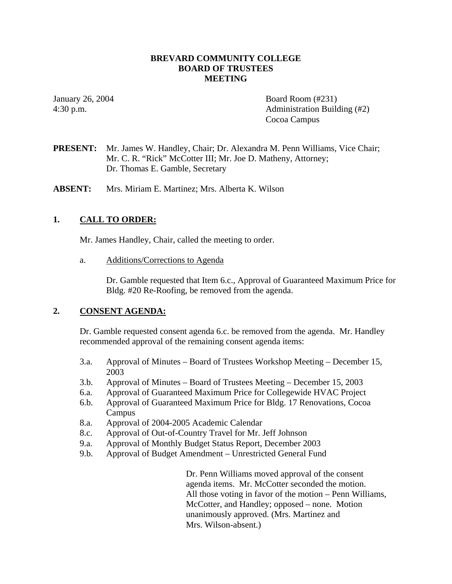#### **BREVARD COMMUNITY COLLEGE BOARD OF TRUSTEES MEETING**

January 26, 2004 **Board Room** (#231) 4:30 p.m. Administration Building (#2) Cocoa Campus

**PRESENT:** Mr. James W. Handley, Chair; Dr. Alexandra M. Penn Williams, Vice Chair; Mr. C. R. "Rick" McCotter III; Mr. Joe D. Matheny, Attorney; Dr. Thomas E. Gamble, Secretary

**ABSENT:** Mrs. Miriam E. Martinez; Mrs. Alberta K. Wilson

## **1. CALL TO ORDER:**

Mr. James Handley, Chair, called the meeting to order.

a. Additions/Corrections to Agenda

Dr. Gamble requested that Item 6.c., Approval of Guaranteed Maximum Price for Bldg. #20 Re-Roofing, be removed from the agenda.

#### **2. CONSENT AGENDA:**

Dr. Gamble requested consent agenda 6.c. be removed from the agenda. Mr. Handley recommended approval of the remaining consent agenda items:

- 3.a. Approval of Minutes Board of Trustees Workshop Meeting December 15, 2003
- 3.b. Approval of Minutes Board of Trustees Meeting December 15, 2003
- 6.a. Approval of Guaranteed Maximum Price for Collegewide HVAC Project
- 6.b. Approval of Guaranteed Maximum Price for Bldg. 17 Renovations, Cocoa Campus
- 8.a. Approval of 2004-2005 Academic Calendar
- 8.c. Approval of Out-of-Country Travel for Mr. Jeff Johnson
- 9.a. Approval of Monthly Budget Status Report, December 2003
- 9.b. Approval of Budget Amendment Unrestricted General Fund

Dr. Penn Williams moved approval of the consent agenda items. Mr. McCotter seconded the motion. All those voting in favor of the motion – Penn Williams, McCotter, and Handley; opposed – none. Motion unanimously approved. (Mrs. Martinez and Mrs. Wilson-absent.)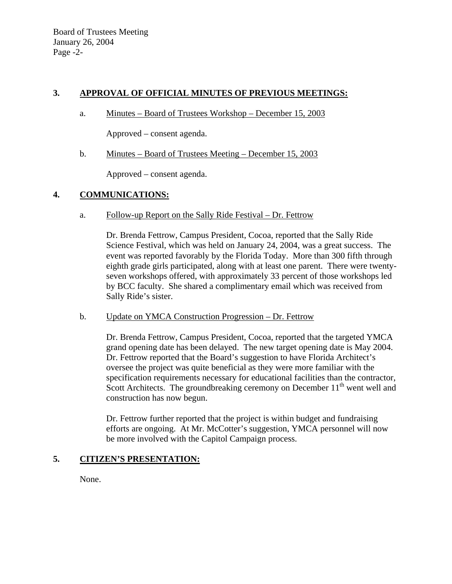## **3. APPROVAL OF OFFICIAL MINUTES OF PREVIOUS MEETINGS:**

a. Minutes – Board of Trustees Workshop – December 15, 2003

Approved – consent agenda.

b. Minutes – Board of Trustees Meeting – December 15, 2003

Approved – consent agenda.

## **4. COMMUNICATIONS:**

a. Follow-up Report on the Sally Ride Festival – Dr. Fettrow

Dr. Brenda Fettrow, Campus President, Cocoa, reported that the Sally Ride Science Festival, which was held on January 24, 2004, was a great success. The event was reported favorably by the Florida Today. More than 300 fifth through eighth grade girls participated, along with at least one parent. There were twentyseven workshops offered, with approximately 33 percent of those workshops led by BCC faculty. She shared a complimentary email which was received from Sally Ride's sister.

b. Update on YMCA Construction Progression – Dr. Fettrow

Dr. Brenda Fettrow, Campus President, Cocoa, reported that the targeted YMCA grand opening date has been delayed. The new target opening date is May 2004. Dr. Fettrow reported that the Board's suggestion to have Florida Architect's oversee the project was quite beneficial as they were more familiar with the specification requirements necessary for educational facilities than the contractor, Scott Architects. The groundbreaking ceremony on December  $11<sup>th</sup>$  went well and construction has now begun.

Dr. Fettrow further reported that the project is within budget and fundraising efforts are ongoing. At Mr. McCotter's suggestion, YMCA personnel will now be more involved with the Capitol Campaign process.

# **5. CITIZEN'S PRESENTATION:**

None.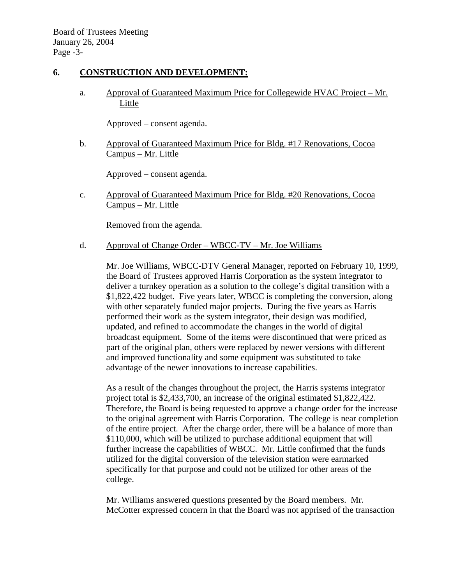## **6. CONSTRUCTION AND DEVELOPMENT:**

a. Approval of Guaranteed Maximum Price for Collegewide HVAC Project – Mr. Little

Approved – consent agenda.

b. Approval of Guaranteed Maximum Price for Bldg. #17 Renovations, Cocoa Campus – Mr. Little

Approved – consent agenda.

c. Approval of Guaranteed Maximum Price for Bldg. #20 Renovations, Cocoa Campus – Mr. Little

Removed from the agenda.

d. Approval of Change Order – WBCC-TV – Mr. Joe Williams

Mr. Joe Williams, WBCC-DTV General Manager, reported on February 10, 1999, the Board of Trustees approved Harris Corporation as the system integrator to deliver a turnkey operation as a solution to the college's digital transition with a \$1,822,422 budget. Five years later, WBCC is completing the conversion, along with other separately funded major projects. During the five years as Harris performed their work as the system integrator, their design was modified, updated, and refined to accommodate the changes in the world of digital broadcast equipment. Some of the items were discontinued that were priced as part of the original plan, others were replaced by newer versions with different and improved functionality and some equipment was substituted to take advantage of the newer innovations to increase capabilities.

As a result of the changes throughout the project, the Harris systems integrator project total is \$2,433,700, an increase of the original estimated \$1,822,422. Therefore, the Board is being requested to approve a change order for the increase to the original agreement with Harris Corporation. The college is near completion of the entire project. After the charge order, there will be a balance of more than \$110,000, which will be utilized to purchase additional equipment that will further increase the capabilities of WBCC. Mr. Little confirmed that the funds utilized for the digital conversion of the television station were earmarked specifically for that purpose and could not be utilized for other areas of the college.

Mr. Williams answered questions presented by the Board members. Mr. McCotter expressed concern in that the Board was not apprised of the transaction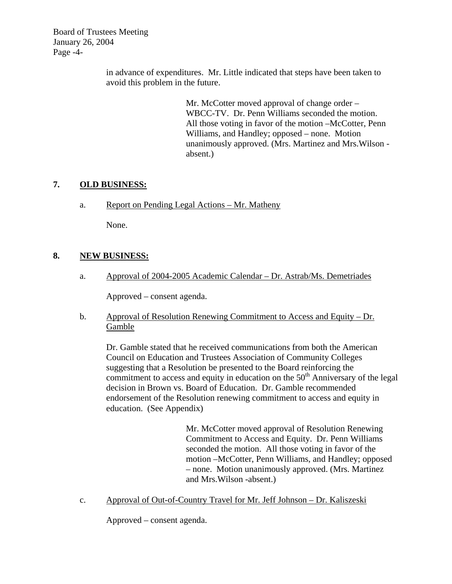Board of Trustees Meeting January 26, 2004 Page -4-

> in advance of expenditures. Mr. Little indicated that steps have been taken to avoid this problem in the future.

> > Mr. McCotter moved approval of change order – WBCC-TV. Dr. Penn Williams seconded the motion. All those voting in favor of the motion –McCotter, Penn Williams, and Handley; opposed – none. Motion unanimously approved. (Mrs. Martinez and Mrs.Wilson absent.)

# **7. OLD BUSINESS:**

a. Report on Pending Legal Actions – Mr. Matheny

None.

# **8. NEW BUSINESS:**

a. Approval of 2004-2005 Academic Calendar – Dr. Astrab/Ms. Demetriades

Approved – consent agenda.

b. Approval of Resolution Renewing Commitment to Access and Equity – Dr. Gamble

Dr. Gamble stated that he received communications from both the American Council on Education and Trustees Association of Community Colleges suggesting that a Resolution be presented to the Board reinforcing the commitment to access and equity in education on the  $50<sup>th</sup>$  Anniversary of the legal decision in Brown vs. Board of Education. Dr. Gamble recommended endorsement of the Resolution renewing commitment to access and equity in education. (See Appendix)

> Mr. McCotter moved approval of Resolution Renewing Commitment to Access and Equity. Dr. Penn Williams seconded the motion. All those voting in favor of the motion –McCotter, Penn Williams, and Handley; opposed – none. Motion unanimously approved. (Mrs. Martinez and Mrs.Wilson -absent.)

c. Approval of Out-of-Country Travel for Mr. Jeff Johnson – Dr. Kaliszeski

Approved – consent agenda.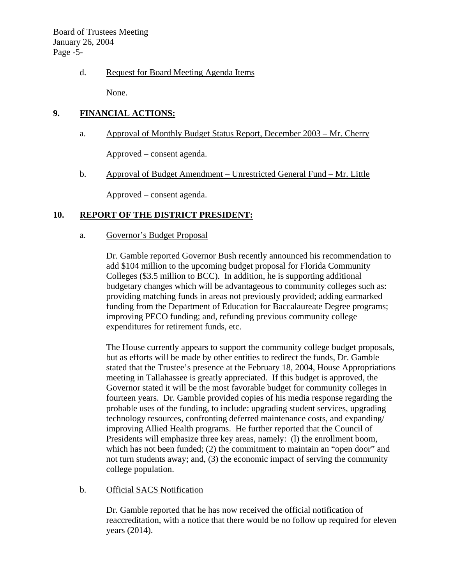Board of Trustees Meeting January 26, 2004 Page -5-

### d. Request for Board Meeting Agenda Items

None.

## **9. FINANCIAL ACTIONS:**

a. Approval of Monthly Budget Status Report, December 2003 – Mr. Cherry

Approved – consent agenda.

b. Approval of Budget Amendment – Unrestricted General Fund – Mr. Little

Approved – consent agenda.

## **10. REPORT OF THE DISTRICT PRESIDENT:**

#### a. Governor's Budget Proposal

Dr. Gamble reported Governor Bush recently announced his recommendation to add \$104 million to the upcoming budget proposal for Florida Community Colleges (\$3.5 million to BCC). In addition, he is supporting additional budgetary changes which will be advantageous to community colleges such as: providing matching funds in areas not previously provided; adding earmarked funding from the Department of Education for Baccalaureate Degree programs; improving PECO funding; and, refunding previous community college expenditures for retirement funds, etc.

The House currently appears to support the community college budget proposals, but as efforts will be made by other entities to redirect the funds, Dr. Gamble stated that the Trustee's presence at the February 18, 2004, House Appropriations meeting in Tallahassee is greatly appreciated. If this budget is approved, the Governor stated it will be the most favorable budget for community colleges in fourteen years. Dr. Gamble provided copies of his media response regarding the probable uses of the funding, to include: upgrading student services, upgrading technology resources, confronting deferred maintenance costs, and expanding/ improving Allied Health programs. He further reported that the Council of Presidents will emphasize three key areas, namely: (1) the enrollment boom, which has not been funded; (2) the commitment to maintain an "open door" and not turn students away; and, (3) the economic impact of serving the community college population.

#### b. Official SACS Notification

Dr. Gamble reported that he has now received the official notification of reaccreditation, with a notice that there would be no follow up required for eleven years (2014).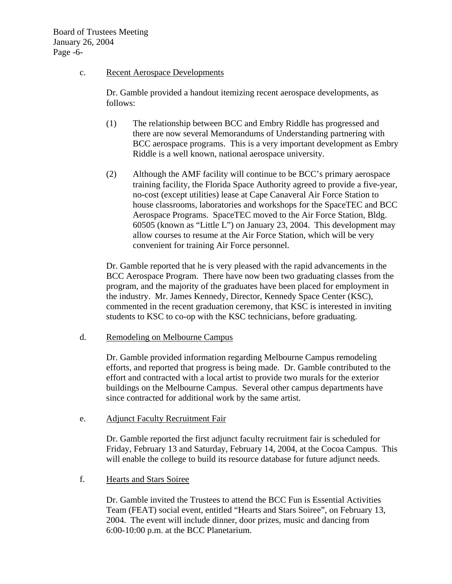### c. Recent Aerospace Developments

Dr. Gamble provided a handout itemizing recent aerospace developments, as follows:

- (1) The relationship between BCC and Embry Riddle has progressed and there are now several Memorandums of Understanding partnering with BCC aerospace programs. This is a very important development as Embry Riddle is a well known, national aerospace university.
- (2) Although the AMF facility will continue to be BCC's primary aerospace training facility, the Florida Space Authority agreed to provide a five-year, no-cost (except utilities) lease at Cape Canaveral Air Force Station to house classrooms, laboratories and workshops for the SpaceTEC and BCC Aerospace Programs. SpaceTEC moved to the Air Force Station, Bldg. 60505 (known as "Little L") on January 23, 2004. This development may allow courses to resume at the Air Force Station, which will be very convenient for training Air Force personnel.

Dr. Gamble reported that he is very pleased with the rapid advancements in the BCC Aerospace Program. There have now been two graduating classes from the program, and the majority of the graduates have been placed for employment in the industry. Mr. James Kennedy, Director, Kennedy Space Center (KSC), commented in the recent graduation ceremony, that KSC is interested in inviting students to KSC to co-op with the KSC technicians, before graduating.

d. Remodeling on Melbourne Campus

Dr. Gamble provided information regarding Melbourne Campus remodeling efforts, and reported that progress is being made. Dr. Gamble contributed to the effort and contracted with a local artist to provide two murals for the exterior buildings on the Melbourne Campus. Several other campus departments have since contracted for additional work by the same artist.

e. Adjunct Faculty Recruitment Fair

Dr. Gamble reported the first adjunct faculty recruitment fair is scheduled for Friday, February 13 and Saturday, February 14, 2004, at the Cocoa Campus. This will enable the college to build its resource database for future adjunct needs.

f. Hearts and Stars Soiree

Dr. Gamble invited the Trustees to attend the BCC Fun is Essential Activities Team (FEAT) social event, entitled "Hearts and Stars Soiree", on February 13, 2004. The event will include dinner, door prizes, music and dancing from 6:00-10:00 p.m. at the BCC Planetarium.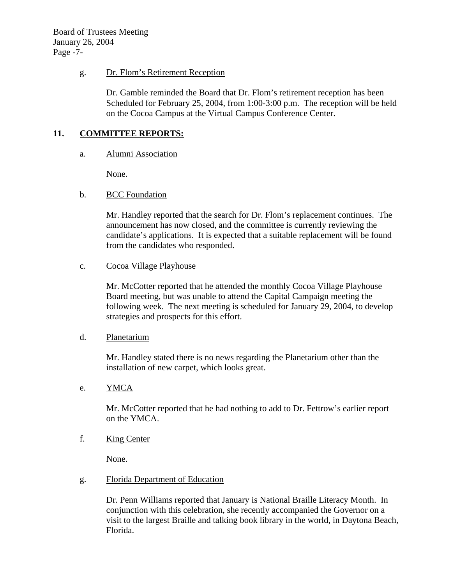Board of Trustees Meeting January 26, 2004 Page -7-

### g. Dr. Flom's Retirement Reception

Dr. Gamble reminded the Board that Dr. Flom's retirement reception has been Scheduled for February 25, 2004, from 1:00-3:00 p.m. The reception will be held on the Cocoa Campus at the Virtual Campus Conference Center.

## **11. COMMITTEE REPORTS:**

#### a. Alumni Association

None.

## b. BCC Foundation

Mr. Handley reported that the search for Dr. Flom's replacement continues. The announcement has now closed, and the committee is currently reviewing the candidate's applications. It is expected that a suitable replacement will be found from the candidates who responded.

## c. Cocoa Village Playhouse

Mr. McCotter reported that he attended the monthly Cocoa Village Playhouse Board meeting, but was unable to attend the Capital Campaign meeting the following week. The next meeting is scheduled for January 29, 2004, to develop strategies and prospects for this effort.

#### d. Planetarium

Mr. Handley stated there is no news regarding the Planetarium other than the installation of new carpet, which looks great.

## e. <u>YMCA</u>

Mr. McCotter reported that he had nothing to add to Dr. Fettrow's earlier report on the YMCA.

#### f. King Center

None.

## g. Florida Department of Education

Dr. Penn Williams reported that January is National Braille Literacy Month. In conjunction with this celebration, she recently accompanied the Governor on a visit to the largest Braille and talking book library in the world, in Daytona Beach, Florida.